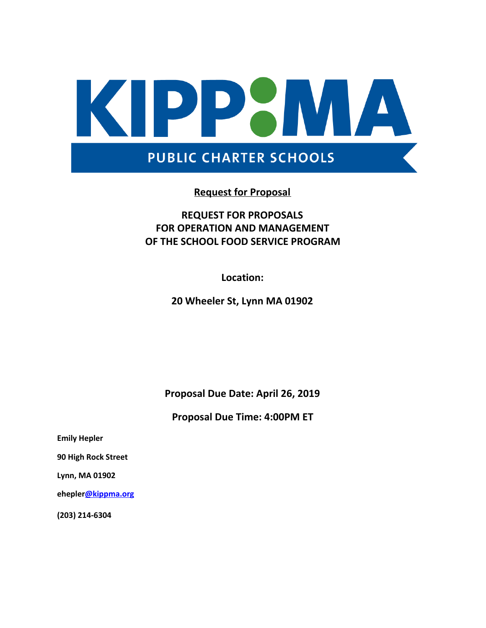

### **Request for Proposal**

### **REQUEST FOR PROPOSALS FOR OPERATION AND MANAGEMENT OF THE SCHOOL FOOD SERVICE PROGRAM**

**Location:**

**20 Wheeler St, Lynn MA 01902**

**Proposal Due Date: April 26, 2019**

**Proposal Due Time: 4:00PM ET**

**Emily Hepler**

**90 High Rock Street**

**Lynn, MA 01902**

**eheple[r@kippma.org](mailto:ktaylor@kippma.org)**

**(203) 214-6304**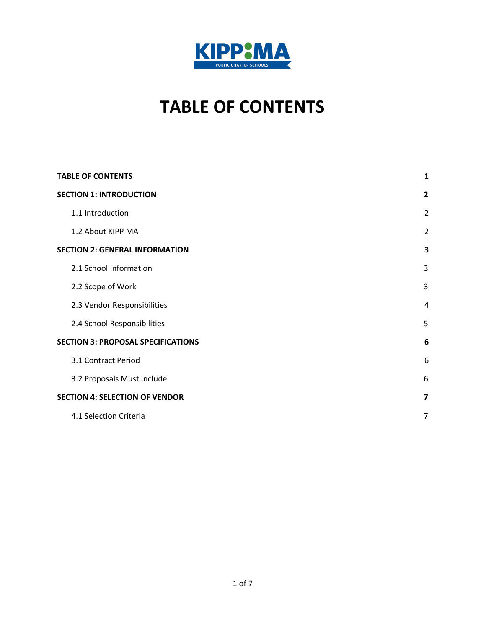

# **TABLE OF CONTENTS**

<span id="page-1-0"></span>

| <b>TABLE OF CONTENTS</b>                  | $\mathbf{1}$   |
|-------------------------------------------|----------------|
| <b>SECTION 1: INTRODUCTION</b>            | $\overline{2}$ |
| 1.1 Introduction                          | $\overline{2}$ |
| 1.2 About KIPP MA                         | $\overline{2}$ |
| <b>SECTION 2: GENERAL INFORMATION</b>     | 3              |
| 2.1 School Information                    | 3              |
| 2.2 Scope of Work                         | 3              |
| 2.3 Vendor Responsibilities               | 4              |
| 2.4 School Responsibilities               | 5              |
| <b>SECTION 3: PROPOSAL SPECIFICATIONS</b> | 6              |
| 3.1 Contract Period                       | 6              |
| 3.2 Proposals Must Include                | 6              |
| <b>SECTION 4: SELECTION OF VENDOR</b>     | $\overline{7}$ |
| 4.1 Selection Criteria                    | $\overline{7}$ |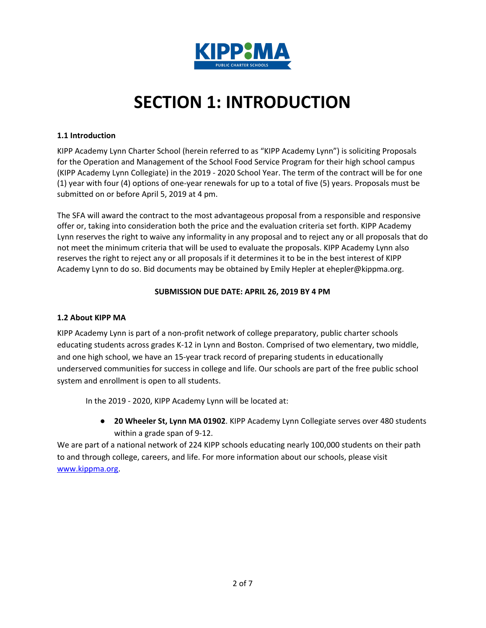

# **SECTION 1: INTRODUCTION**

#### <span id="page-2-1"></span><span id="page-2-0"></span>**1.1 Introduction**

KIPP Academy Lynn Charter School (herein referred to as "KIPP Academy Lynn") is soliciting Proposals for the Operation and Management of the School Food Service Program for their high school campus (KIPP Academy Lynn Collegiate) in the 2019 - 2020 School Year. The term of the contract will be for one (1) year with four (4) options of one-year renewals for up to a total of five (5) years. Proposals must be submitted on or before April 5, 2019 at 4 pm.

The SFA will award the contract to the most advantageous proposal from a responsible and responsive offer or, taking into consideration both the price and the evaluation criteria set forth. KIPP Academy Lynn reserves the right to waive any informality in any proposal and to reject any or all proposals that do not meet the minimum criteria that will be used to evaluate the proposals. KIPP Academy Lynn also reserves the right to reject any or all proposals if it determines it to be in the best interest of KIPP Academy Lynn to do so. Bid documents may be obtained by Emily Hepler at ehepler@kippma.org.

#### **SUBMISSION DUE DATE: APRIL 26, 2019 BY 4 PM**

#### <span id="page-2-2"></span>**1.2 About KIPP MA**

KIPP Academy Lynn is part of a non-profit network of college preparatory, public charter schools educating students across grades K-12 in Lynn and Boston. Comprised of two elementary, two middle, and one high school, we have an 15-year track record of preparing students in educationally underserved communities for success in college and life. Our schools are part of the free public school system and enrollment is open to all students.

In the 2019 - 2020, KIPP Academy Lynn will be located at:

● **20 Wheeler St, Lynn MA 01902**. KIPP Academy Lynn Collegiate serves over 480 students within a grade span of 9-12.

We are part of a national network of 224 KIPP schools educating nearly 100,000 students on their path to and through college, careers, and life. For more information about our schools, please visit [www.kippma.org](http://www.kippma.org/).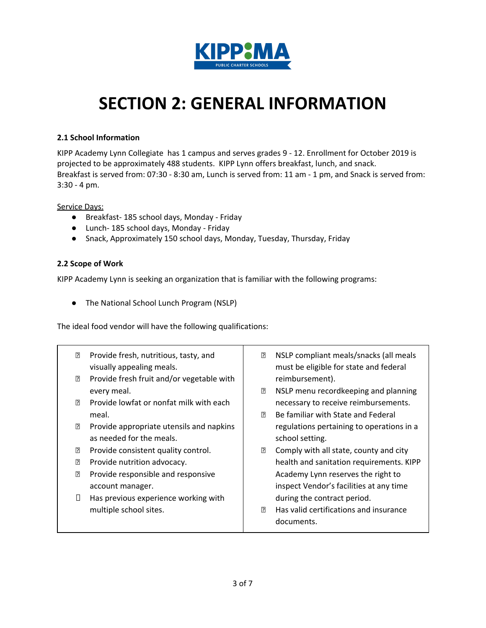

### <span id="page-3-0"></span>**SECTION 2: GENERAL INFORMATION**

#### <span id="page-3-1"></span>**2.1 School Information**

KIPP Academy Lynn Collegiate has 1 campus and serves grades 9 - 12. Enrollment for October 2019 is projected to be approximately 488 students. KIPP Lynn offers breakfast, lunch, and snack. Breakfast is served from: 07:30 - 8:30 am, Lunch is served from: 11 am - 1 pm, and Snack is served from: 3:30 - 4 pm.

Service Days:

- Breakfast- 185 school days, Monday Friday
- Lunch- 185 school days, Monday Friday
- Snack, Approximately 150 school days, Monday, Tuesday, Thursday, Friday

#### <span id="page-3-2"></span>**2.2 Scope of Work**

KIPP Academy Lynn is seeking an organization that is familiar with the following programs:

● The National School Lunch Program (NSLP)

The ideal food vendor will have the following qualifications:

| 卪<br>ß. | Provide fresh, nutritious, tasty, and<br>visually appealing meals.<br>Provide fresh fruit and/or vegetable with | 卪  | NSLP compliant meals/snacks (all meals<br>must be eligible for state and federal<br>reimbursement). |
|---------|-----------------------------------------------------------------------------------------------------------------|----|-----------------------------------------------------------------------------------------------------|
|         | every meal.                                                                                                     | ß. | NSLP menu recordkeeping and planning                                                                |
| 卪       | Provide lowfat or nonfat milk with each                                                                         |    | necessary to receive reimbursements.                                                                |
|         | meal.                                                                                                           | ?  | Be familiar with State and Federal                                                                  |
| 卪       | Provide appropriate utensils and napkins                                                                        |    | regulations pertaining to operations in a                                                           |
|         | as needed for the meals.                                                                                        |    | school setting.                                                                                     |
| R       | Provide consistent quality control.                                                                             | 2  | Comply with all state, county and city                                                              |
| 卪       | Provide nutrition advocacy.                                                                                     |    | health and sanitation requirements. KIPP                                                            |
| 卪       | Provide responsible and responsive                                                                              |    | Academy Lynn reserves the right to                                                                  |
|         | account manager.                                                                                                |    | inspect Vendor's facilities at any time                                                             |
| П       | Has previous experience working with                                                                            |    | during the contract period.                                                                         |
|         | multiple school sites.                                                                                          | 卪  | Has valid certifications and insurance                                                              |
|         |                                                                                                                 |    | documents.                                                                                          |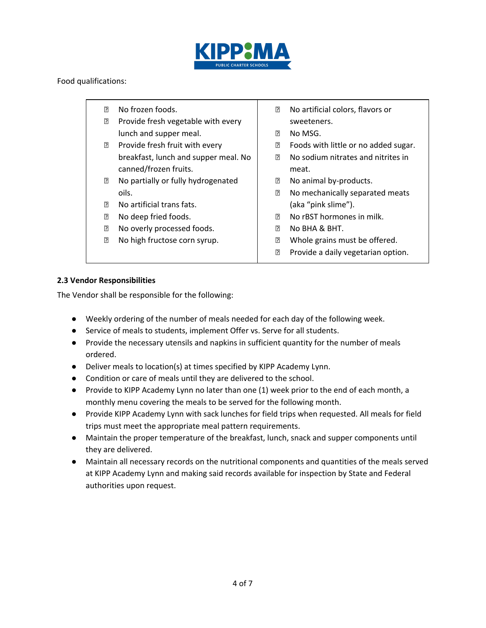

#### Food qualifications:

- **Z** No frozen foods.
	- **Provide fresh vegetable with every** lunch and supper meal.
	- **P** Provide fresh fruit with every breakfast, lunch and supper meal. No canned/frozen fruits.
- **No partially or fully hydrogenated** oils.
- **No artificial trans fats.**
- **Z** No deep fried foods.
- **No overly processed foods.**
- **No high fructose corn syrup.**
- No artificial colors, flavors or sweeteners.
- **2 No MSG.**
- **EXEC** Foods with little or no added sugar.
- **Z** No sodium nitrates and nitrites in meat.
- **No animal by-products.**
- **No mechanically separated meats** (aka "pink slime").
- **Z** No rBST hormones in milk.
- **No BHA & BHT.**
- **2** Whole grains must be offered.
- **P** Provide a daily vegetarian option.

#### <span id="page-4-0"></span>**2.3 Vendor Responsibilities**

The Vendor shall be responsible for the following:

- Weekly ordering of the number of meals needed for each day of the following week.
- Service of meals to students, implement Offer vs. Serve for all students.
- Provide the necessary utensils and napkins in sufficient quantity for the number of meals ordered.
- Deliver meals to location(s) at times specified by KIPP Academy Lynn.
- Condition or care of meals until they are delivered to the school.
- Provide to KIPP Academy Lynn no later than one (1) week prior to the end of each month, a monthly menu covering the meals to be served for the following month.
- Provide KIPP Academy Lynn with sack lunches for field trips when requested. All meals for field trips must meet the appropriate meal pattern requirements.
- Maintain the proper temperature of the breakfast, lunch, snack and supper components until they are delivered.
- Maintain all necessary records on the nutritional components and quantities of the meals served at KIPP Academy Lynn and making said records available for inspection by State and Federal authorities upon request.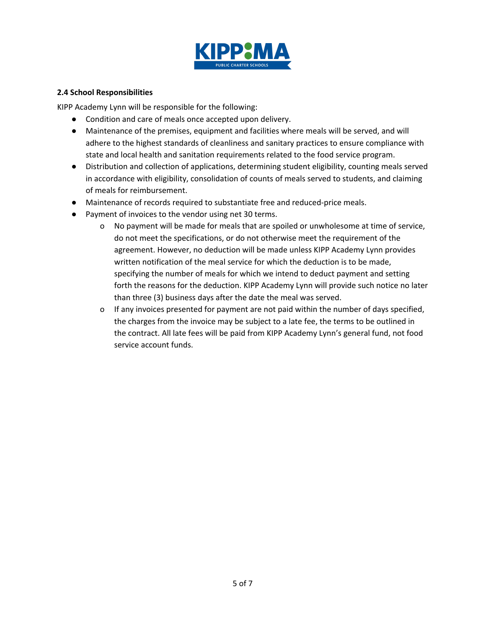

#### <span id="page-5-0"></span>**2.4 School Responsibilities**

KIPP Academy Lynn will be responsible for the following:

- Condition and care of meals once accepted upon delivery.
- Maintenance of the premises, equipment and facilities where meals will be served, and will adhere to the highest standards of cleanliness and sanitary practices to ensure compliance with state and local health and sanitation requirements related to the food service program.
- Distribution and collection of applications, determining student eligibility, counting meals served in accordance with eligibility, consolidation of counts of meals served to students, and claiming of meals for reimbursement.
- Maintenance of records required to substantiate free and reduced-price meals.
- Payment of invoices to the vendor using net 30 terms.
	- o No payment will be made for meals that are spoiled or unwholesome at time of service, do not meet the specifications, or do not otherwise meet the requirement of the agreement. However, no deduction will be made unless KIPP Academy Lynn provides written notification of the meal service for which the deduction is to be made, specifying the number of meals for which we intend to deduct payment and setting forth the reasons for the deduction. KIPP Academy Lynn will provide such notice no later than three (3) business days after the date the meal was served.
	- o If any invoices presented for payment are not paid within the number of days specified, the charges from the invoice may be subject to a late fee, the terms to be outlined in the contract. All late fees will be paid from KIPP Academy Lynn's general fund, not food service account funds.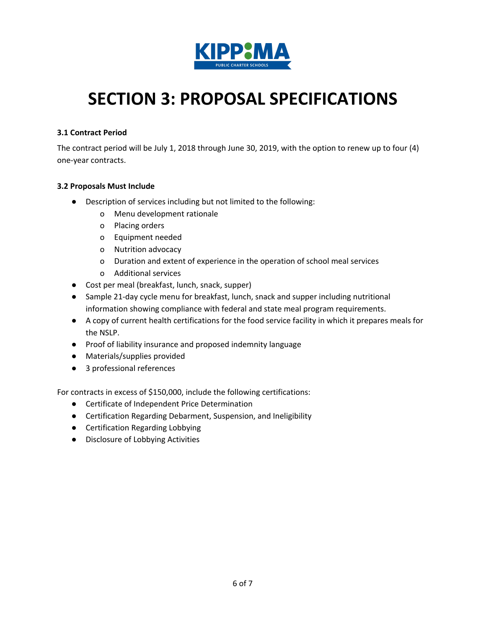

# <span id="page-6-0"></span>**SECTION 3: PROPOSAL SPECIFICATIONS**

#### <span id="page-6-1"></span>**3.1 Contract Period**

The contract period will be July 1, 2018 through June 30, 2019, with the option to renew up to four (4) one-year contracts.

#### <span id="page-6-2"></span>**3.2 Proposals Must Include**

- Description of services including but not limited to the following:
	- o Menu development rationale
	- o Placing orders
	- o Equipment needed
	- o Nutrition advocacy
	- o Duration and extent of experience in the operation of school meal services
	- o Additional services
- Cost per meal (breakfast, lunch, snack, supper)
- Sample 21-day cycle menu for breakfast, lunch, snack and supper including nutritional information showing compliance with federal and state meal program requirements.
- A copy of current health certifications for the food service facility in which it prepares meals for the NSLP.
- Proof of liability insurance and proposed indemnity language
- Materials/supplies provided
- 3 professional references

For contracts in excess of \$150,000, include the following certifications:

- Certificate of Independent Price Determination
- Certification Regarding Debarment, Suspension, and Ineligibility
- Certification Regarding Lobbying
- Disclosure of Lobbying Activities